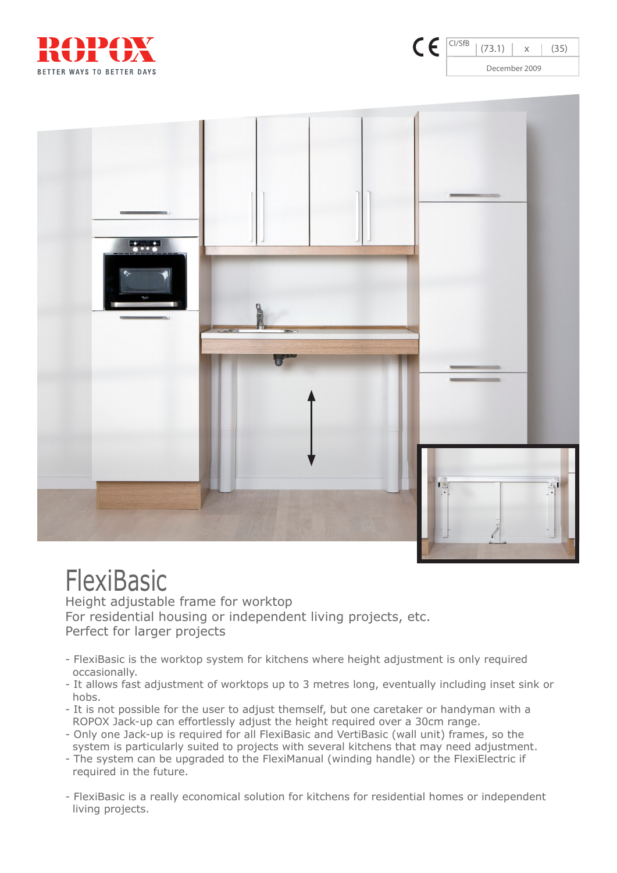





## **FlexiBasic**

Height adjustable frame for worktop For residential housing or independent living projects, etc. Perfect for larger projects

- FlexiBasic is the worktop system for kitchens where height adjustment is only required occasionally.
- It allows fast adjustment of worktops up to 3 metres long, eventually including inset sink or hobs.
- It is not possible for the user to adjust themself, but one caretaker or handyman with a ROPOX Jack-up can effortlessly adjust the height required over a 30cm range.
- Only one Jack-up is required for all FlexiBasic and VertiBasic (wall unit) frames, so the system is particularly suited to projects with several kitchens that may need adjustment.
- The system can be upgraded to the FlexiManual (winding handle) or the FlexiElectric if required in the future.
- FlexiBasic is a really economical solution for kitchens for residential homes or independent living projects.